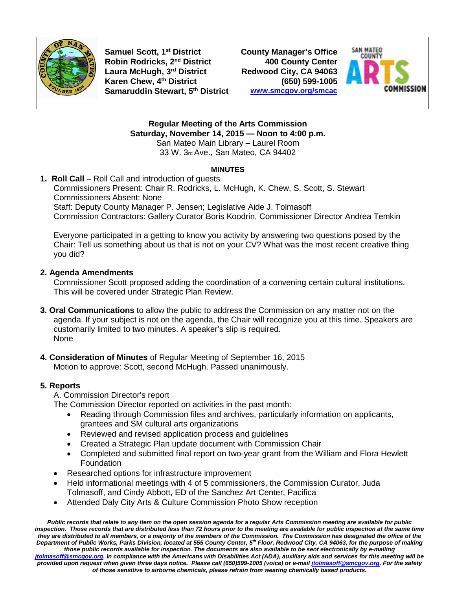

**Samuel Scott, 1st District County Manager's Office Robin Rodricks, 2<sup>nd</sup> District Laura McHugh, 3rd District Redwood City, CA 94063 Karen Chew, 4th District (650) 599-1005 Samaruddin Stewart, 5th District [www.smcgov.org/smcac](http://www.smcgov.org/smcac)**



**Regular Meeting of the Arts Commission Saturday, November 14, 2015 — Noon to 4:00 p.m.** San Mateo Main Library – Laurel Room 33 W. 3rd Ave., San Mateo, CA 94402

### **MINUTES**

### **1. Roll Call** – Roll Call and introduction of guests Commissioners Present: Chair R. Rodricks, L. McHugh, K. Chew, S. Scott, S. Stewart Commissioners Absent: None Staff: Deputy County Manager P. Jensen; Legislative Aide J. Tolmasoff Commission Contractors: Gallery Curator Boris Koodrin, Commissioner Director Andrea Temkin

Everyone participated in a getting to know you activity by answering two questions posed by the Chair: Tell us something about us that is not on your CV? What was the most recent creative thing you did?

# **2. Agenda Amendments**

Commissioner Scott proposed adding the coordination of a convening certain cultural institutions. This will be covered under Strategic Plan Review.

- **3. Oral Communications** to allow the public to address the Commission on any matter not on the agenda. If your subject is not on the agenda, the Chair will recognize you at this time. Speakers are customarily limited to two minutes. A speaker's slip is required. None
- **4. Consideration of Minutes** of Regular Meeting of September 16, 2015 Motion to approve: Scott, second McHugh. Passed unanimously.

# **5. Reports**

A. Commission Director's report

The Commission Director reported on activities in the past month:

- Reading through Commission files and archives, particularly information on applicants, grantees and SM cultural arts organizations
- Reviewed and revised application process and guidelines
- Created a Strategic Plan update document with Commission Chair
- Completed and submitted final report on two-year grant from the William and Flora Hewlett **Foundation**
- Researched options for infrastructure improvement
- Held informational meetings with 4 of 5 commissioners, the Commission Curator, Juda Tolmasoff, and Cindy Abbott, ED of the Sanchez Art Center, Pacifica
- Attended Daly City Arts & Culture Commission Photo Show reception

*Public records that relate to any item on the open session agenda for a regular Arts Commission meeting are available for public inspection. Those records that are distributed less than 72 hours prior to the meeting are available for public inspection at the same time they are distributed to all members, or a majority of the members of the Commission. The Commission has designated the office of the Department of Public Works, Parks Division, located at 555 County Center, 5th Floor, Redwood City, CA 94063, for the purpose of making those public records available for inspection. The documents are also available to be sent electronically by e-mailing [jtolmasoff@smcgov.org.](mailto:jtolmasoff@smcgov.org) In compliance with the Americans with Disabilities Act (ADA), auxiliary aids and services for this meeting will be provided upon request when given three days notice. Please call (650)599-1005 (voice) or e-mai[l jtolmasoff@smcgov.org.](mailto:jtolmasoff@smcgov.org) For the safety of those sensitive to airborne chemicals, please refrain from wearing chemically based products.*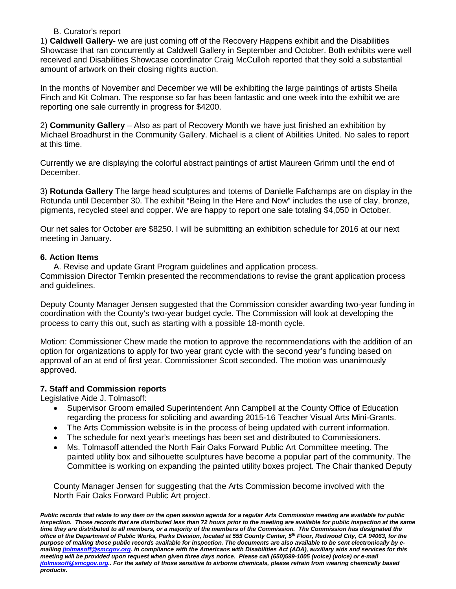### B. Curator's report

1) **Caldwell Gallery-** we are just coming off of the Recovery Happens exhibit and the Disabilities Showcase that ran concurrently at Caldwell Gallery in September and October. Both exhibits were well received and Disabilities Showcase coordinator Craig McCulloh reported that they sold a substantial amount of artwork on their closing nights auction.

In the months of November and December we will be exhibiting the large paintings of artists Sheila Finch and Kit Colman. The response so far has been fantastic and one week into the exhibit we are reporting one sale currently in progress for \$4200.

2) **Community Gallery** – Also as part of Recovery Month we have just finished an exhibition by Michael Broadhurst in the Community Gallery. Michael is a client of Abilities United. No sales to report at this time.

Currently we are displaying the colorful abstract paintings of artist Maureen Grimm until the end of December.

3) **Rotunda Gallery** The large head sculptures and totems of Danielle Fafchamps are on display in the Rotunda until December 30. The exhibit "Being In the Here and Now" includes the use of clay, bronze, pigments, recycled steel and copper. We are happy to report one sale totaling \$4,050 in October.

Our net sales for October are \$8250. I will be submitting an exhibition schedule for 2016 at our next meeting in January.

## **6. Action Items**

A. Revise and update Grant Program guidelines and application process. Commission Director Temkin presented the recommendations to revise the grant application process and guidelines.

Deputy County Manager Jensen suggested that the Commission consider awarding two-year funding in coordination with the County's two-year budget cycle. The Commission will look at developing the process to carry this out, such as starting with a possible 18-month cycle.

Motion: Commissioner Chew made the motion to approve the recommendations with the addition of an option for organizations to apply for two year grant cycle with the second year's funding based on approval of an at end of first year. Commissioner Scott seconded. The motion was unanimously approved.

## **7. Staff and Commission reports**

Legislative Aide J. Tolmasoff:

- Supervisor Groom emailed Superintendent Ann Campbell at the County Office of Education regarding the process for soliciting and awarding 2015-16 Teacher Visual Arts Mini-Grants.
- The Arts Commission website is in the process of being updated with current information.
- The schedule for next year's meetings has been set and distributed to Commissioners.
- Ms. Tolmasoff attended the North Fair Oaks Forward Public Art Committee meeting. The painted utility box and silhouette sculptures have become a popular part of the community. The Committee is working on expanding the painted utility boxes project. The Chair thanked Deputy

County Manager Jensen for suggesting that the Arts Commission become involved with the North Fair Oaks Forward Public Art project.

*Public records that relate to any item on the open session agenda for a regular Arts Commission meeting are available for public inspection. Those records that are distributed less than 72 hours prior to the meeting are available for public inspection at the same time they are distributed to all members, or a majority of the members of the Commission. The Commission has designated the office of the Department of Public Works, Parks Division, located at 555 County Center, 5th Floor, Redwood City, CA 94063, for the purpose of making those public records available for inspection. The documents are also available to be sent electronically by emailin[g jtolmasoff@smcgov.org.](mailto:jtolmasoff@smcgov.org) In compliance with the Americans with Disabilities Act (ADA), auxiliary aids and services for this meeting will be provided upon request when given three days notice. Please call (650)599-1005 (voice) (voice) or e-mail [jtolmasoff@smcgov.org..](mailto:jtolmasoff@smcgov.org) For the safety of those sensitive to airborne chemicals, please refrain from wearing chemically based products.*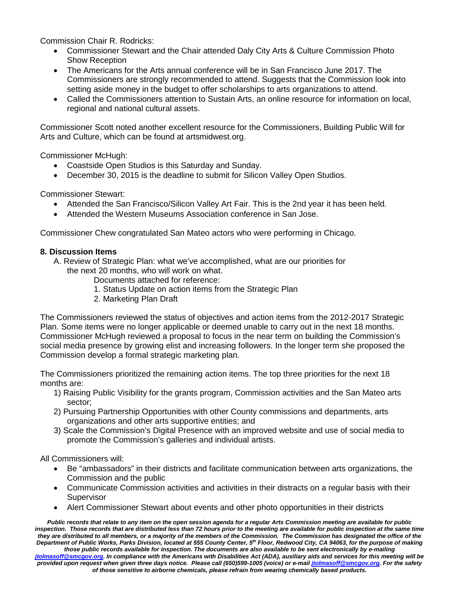Commission Chair R. Rodricks:

- Commissioner Stewart and the Chair attended Daly City Arts & Culture Commission Photo Show Reception
- The Americans for the Arts annual conference will be in San Francisco June 2017. The Commissioners are strongly recommended to attend. Suggests that the Commission look into setting aside money in the budget to offer scholarships to arts organizations to attend.
- Called the Commissioners attention to Sustain Arts, an online resource for information on local, regional and national cultural assets.

Commissioner Scott noted another excellent resource for the Commissioners, Building Public Will for Arts and Culture, which can be found at artsmidwest.org.

Commissioner McHugh:

- Coastside Open Studios is this Saturday and Sunday.
- December 30, 2015 is the deadline to submit for Silicon Valley Open Studios.

Commissioner Stewart:

- Attended the San Francisco/Silicon Valley Art Fair. This is the 2nd year it has been held.
- Attended the Western Museums Association conference in San Jose.

Commissioner Chew congratulated San Mateo actors who were performing in Chicago.

## **8. Discussion Items**

A. Review of Strategic Plan: what we've accomplished, what are our priorities for the next 20 months, who will work on what.

Documents attached for reference:

- 1. Status Update on action items from the Strategic Plan
- 2. Marketing Plan Draft

The Commissioners reviewed the status of objectives and action items from the 2012-2017 Strategic Plan. Some items were no longer applicable or deemed unable to carry out in the next 18 months. Commissioner McHugh reviewed a proposal to focus in the near term on building the Commission's social media presence by growing elist and increasing followers. In the longer term she proposed the Commission develop a formal strategic marketing plan.

The Commissioners prioritized the remaining action items. The top three priorities for the next 18 months are:

- 1) Raising Public Visibility for the grants program, Commission activities and the San Mateo arts sector;
- 2) Pursuing Partnership Opportunities with other County commissions and departments, arts organizations and other arts supportive entities; and
- 3) Scale the Commission's Digital Presence with an improved website and use of social media to promote the Commission's galleries and individual artists.

All Commissioners will:

- Be "ambassadors" in their districts and facilitate communication between arts organizations, the Commission and the public
- Communicate Commission activities and activities in their distracts on a regular basis with their **Supervisor**
- Alert Commissioner Stewart about events and other photo opportunities in their districts

*Public records that relate to any item on the open session agenda for a regular Arts Commission meeting are available for public inspection. Those records that are distributed less than 72 hours prior to the meeting are available for public inspection at the same time they are distributed to all members, or a majority of the members of the Commission. The Commission has designated the office of the Department of Public Works, Parks Division, located at 555 County Center, 5th Floor, Redwood City, CA 94063, for the purpose of making those public records available for inspection. The documents are also available to be sent electronically by e-mailing [jtolmasoff@smcgov.org.](mailto:jtolmasoff@smcgov.org) In compliance with the Americans with Disabilities Act (ADA), auxiliary aids and services for this meeting will be provided upon request when given three days notice. Please call (650)599-1005 (voice) or e-mai[l jtolmasoff@smcgov.org.](mailto:jtolmasoff@smcgov.org) For the safety* 

*of those sensitive to airborne chemicals, please refrain from wearing chemically based products.*